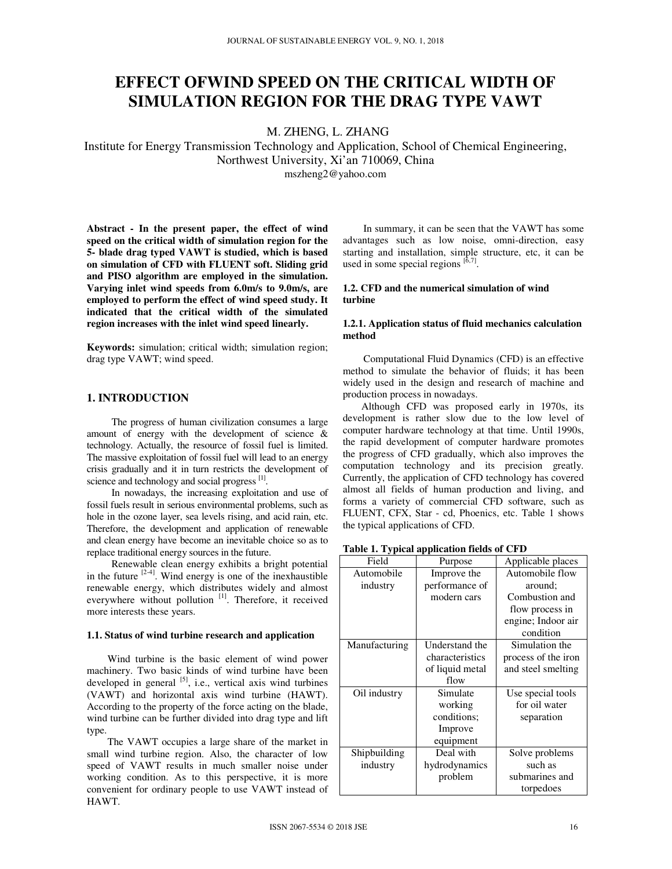# **EFFECT OFWIND SPEED ON THE CRITICAL WIDTH OF SIMULATION REGION FOR THE DRAG TYPE VAWT**

M. ZHENG, L. ZHANG

Institute for Energy Transmission Technology and Application, School of Chemical Engineering, Northwest University, Xi'an 710069, China

mszheng2@yahoo.com

**Abstract - In the present paper, the effect of wind speed on the critical width of simulation region for the 5- blade drag typed VAWT is studied, which is based on simulation of CFD with FLUENT soft. Sliding grid and PISO algorithm are employed in the simulation. Varying inlet wind speeds from 6.0m/s to 9.0m/s, are employed to perform the effect of wind speed study. It indicated that the critical width of the simulated region increases with the inlet wind speed linearly.** 

**Keywords:** simulation; critical width; simulation region; drag type VAWT; wind speed.

# **1. INTRODUCTION**

The progress of human civilization consumes a large amount of energy with the development of science & technology. Actually, the resource of fossil fuel is limited. The massive exploitation of fossil fuel will lead to an energy crisis gradually and it in turn restricts the development of science and technology and social progress [1].

In nowadays, the increasing exploitation and use of fossil fuels result in serious environmental problems, such as hole in the ozone layer, sea levels rising, and acid rain, etc. Therefore, the development and application of renewable and clean energy have become an inevitable choice so as to replace traditional energy sources in the future.

Renewable clean energy exhibits a bright potential in the future  $[2-4]$ . Wind energy is one of the inexhaustible renewable energy, which distributes widely and almost everywhere without pollution [1]. Therefore, it received more interests these years.

## **1.1. Status of wind turbine research and application**

Wind turbine is the basic element of wind power machinery. Two basic kinds of wind turbine have been developed in general <sup>[5]</sup>, i.e., vertical axis wind turbines (VAWT) and horizontal axis wind turbine (HAWT). According to the property of the force acting on the blade, wind turbine can be further divided into drag type and lift type.

The VAWT occupies a large share of the market in small wind turbine region. Also, the character of low speed of VAWT results in much smaller noise under working condition. As to this perspective, it is more convenient for ordinary people to use VAWT instead of HAWT.

In summary, it can be seen that the VAWT has some advantages such as low noise, omni-direction, easy starting and installation, simple structure, etc, it can be used in some special regions  $\left[6,7\right]$ .

## **1.2. CFD and the numerical simulation of wind turbine**

## **1.2.1. Application status of fluid mechanics calculation method**

Computational Fluid Dynamics (CFD) is an effective method to simulate the behavior of fluids; it has been widely used in the design and research of machine and production process in nowadays.

Although CFD was proposed early in 1970s, its development is rather slow due to the low level of computer hardware technology at that time. Until 1990s, the rapid development of computer hardware promotes the progress of CFD gradually, which also improves the computation technology and its precision greatly. Currently, the application of CFD technology has covered almost all fields of human production and living, and forms a variety of commercial CFD software, such as FLUENT, CFX, Star - cd, Phoenics, etc. Table 1 shows the typical applications of CFD.

**Table 1. Typical application fields of CFD** 

| Field         | Purpose         | Applicable places   |
|---------------|-----------------|---------------------|
| Automobile    | Improve the     | Automobile flow     |
| industry      | performance of  | around:             |
|               | modern cars     | Combustion and      |
|               |                 | flow process in     |
|               |                 | engine; Indoor air  |
|               |                 | condition           |
| Manufacturing | Understand the  | Simulation the      |
|               | characteristics | process of the iron |
|               | of liquid metal | and steel smelting  |
|               | flow            |                     |
| Oil industry  | Simulate        | Use special tools   |
|               | working         | for oil water       |
|               | conditions;     | separation          |
|               | Improve         |                     |
|               | equipment       |                     |
| Shipbuilding  | Deal with       | Solve problems      |
| industry      | hydrodynamics   | such as             |
|               | problem         | submarines and      |
|               |                 | torpedoes           |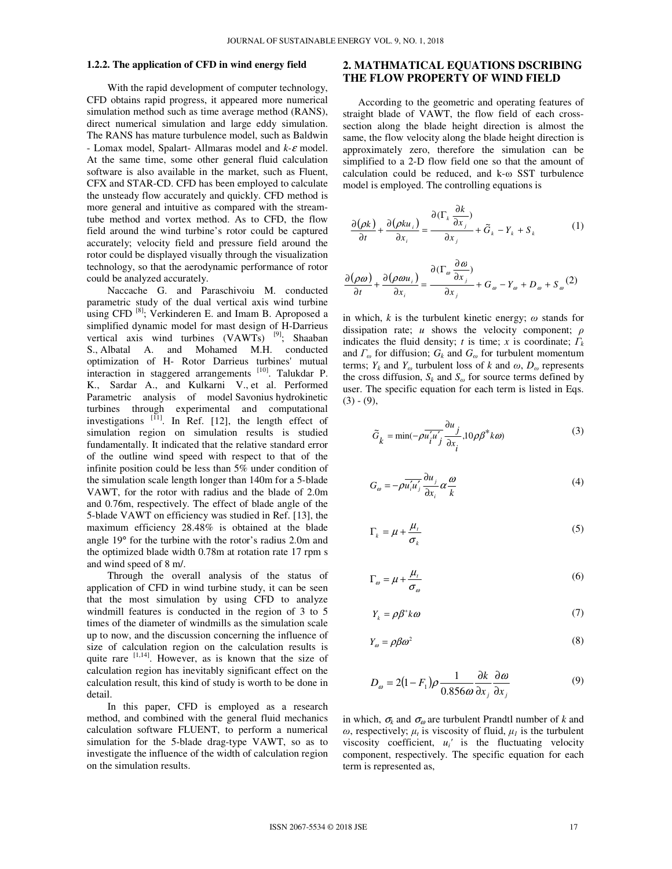#### **1.2.2. The application of CFD in wind energy field**

With the rapid development of computer technology, CFD obtains rapid progress, it appeared more numerical simulation method such as time average method (RANS), direct numerical simulation and large eddy simulation. The RANS has mature turbulence model, such as Baldwin - Lomax model, Spalart- Allmaras model and *k-*ε model. At the same time, some other general fluid calculation software is also available in the market, such as Fluent, CFX and STAR-CD. CFD has been employed to calculate the unsteady flow accurately and quickly. CFD method is more general and intuitive as compared with the streamtube method and vortex method. As to CFD, the flow field around the wind turbine's rotor could be captured accurately; velocity field and pressure field around the rotor could be displayed visually through the visualization technology, so that the aerodynamic performance of rotor could be analyzed accurately.

Naccache G. and Paraschivoiu M. conducted parametric study of the dual vertical axis wind turbine using CFD<sup>[8]</sup>; Verkinderen E. and Imam B. Aproposed a simplified dynamic model for mast design of H-Darrieus vertical axis wind turbines (VAWTs) [9]; Shaaban S., Albatal A. and Mohamed M.H. conducted optimization of H- Rotor Darrieus turbines' mutual interaction in staggered arrangements [10]. Talukdar P. K., Sardar A., and Kulkarni V., et al. Performed Parametric analysis of model Savonius hydrokinetic turbines through experimental and computational investigations  $[1]$ . In Ref. [12], the length effect of simulation region on simulation results is studied fundamentally. It indicated that the relative standard error of the outline wind speed with respect to that of the infinite position could be less than 5% under condition of the simulation scale length longer than 140m for a 5-blade VAWT, for the rotor with radius and the blade of 2.0m and 0.76m, respectively. The effect of blade angle of the 5-blade VAWT on efficiency was studied in Ref. [13], the maximum efficiency 28.48% is obtained at the blade angle 19° for the turbine with the rotor's radius 2.0m and the optimized blade width 0.78m at rotation rate 17 rpm s and wind speed of 8 m/.

Through the overall analysis of the status of application of CFD in wind turbine study, it can be seen that the most simulation by using CFD to analyze windmill features is conducted in the region of 3 to 5 times of the diameter of windmills as the simulation scale up to now, and the discussion concerning the influence of size of calculation region on the calculation results is quite rare  $[1,14]$ . However, as is known that the size of calculation region has inevitably significant effect on the calculation result, this kind of study is worth to be done in detail.

In this paper, CFD is employed as a research method, and combined with the general fluid mechanics calculation software FLUENT, to perform a numerical simulation for the 5-blade drag-type VAWT, so as to investigate the influence of the width of calculation region on the simulation results.

## **2. MATHMATICAL EQUATIONS DSCRIBING THE FLOW PROPERTY OF WIND FIELD**

According to the geometric and operating features of straight blade of VAWT, the flow field of each crosssection along the blade height direction is almost the same, the flow velocity along the blade height direction is approximately zero, therefore the simulation can be simplified to a 2-D flow field one so that the amount of calculation could be reduced, and k-ω SST turbulence model is employed. The controlling equations is

$$
\frac{\partial(\rho k)}{\partial t} + \frac{\partial(\rho k u_i)}{\partial x_i} = \frac{\partial(\Gamma_k \frac{\partial k}{\partial x_j})}{\partial x_j} + \tilde{G}_k - Y_k + S_k \tag{1}
$$

$$
\frac{\partial(\rho\omega)}{\partial t} + \frac{\partial(\rho\omega u_i)}{\partial x_i} = \frac{\partial(\Gamma_\omega \frac{\partial \omega}{\partial x_j})}{\partial x_j} + G_\omega - Y_\omega + D_\omega + S_\omega(2)
$$

in which, *k* is the turbulent kinetic energy; *ω* stands for dissipation rate; *u* shows the velocity component; *ρ* indicates the fluid density; *t* is time; *x* is coordinate;  $\Gamma_k$ and *Γω* for diffusion; *G<sup>k</sup>* and *G<sup>ω</sup>* for turbulent momentum terms;  $Y_k$  and  $Y_\omega$  turbulent loss of *k* and  $\omega$ ,  $D_\omega$  represents the cross diffusion,  $S_k$  and  $S_\omega$  for source terms defined by user. The specific equation for each term is listed in Eqs.  $(3) - (9)$ ,

$$
\tilde{G}_k = \min(-\rho \overline{u_i' u_j'} \frac{\partial u_j}{\partial x_i}, 10 \rho \beta^* k \omega)
$$
\n(3)

$$
G_{\omega} = -\rho \overline{u'_i u'_j} \frac{\partial u_j}{\partial x_i} \alpha \frac{\omega}{k}
$$
 (4)

$$
\Gamma_k = \mu + \frac{\mu_i}{\sigma_k} \tag{5}
$$

$$
\Gamma_{\omega} = \mu + \frac{\mu_{t}}{\sigma_{\omega}} \tag{6}
$$

$$
Y_k = \rho \beta^* k \omega \tag{7}
$$

$$
Y_{\omega} = \rho \beta \omega^2 \tag{8}
$$

$$
D_{\omega} = 2(1 - F_1)\rho \frac{1}{0.856\omega} \frac{\partial k}{\partial x_j} \frac{\partial \omega}{\partial x_j}
$$
(9)

in which,  $\sigma_k$  and  $\sigma_\omega$  are turbulent Prandtl number of *k* and *ω*, respectively;  $\mu_t$  is viscosity of fluid,  $\mu_l$  is the turbulent viscosity coefficient,  $u_i'$  is the fluctuating velocity component, respectively. The specific equation for each term is represented as,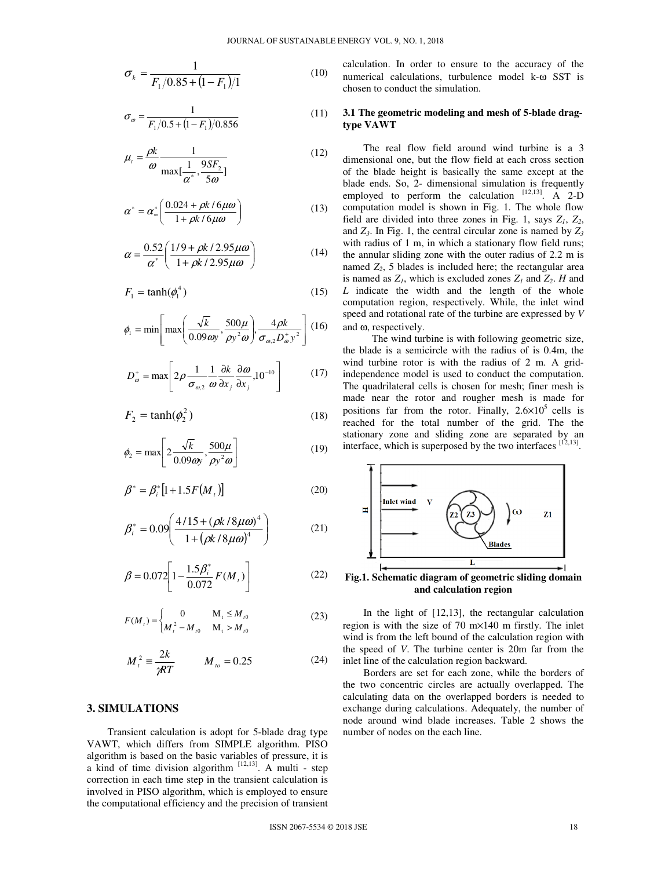$$
\sigma_k = \frac{1}{F_1/0.85 + (1 - F_1)/1}
$$
(10)

$$
\sigma_{\omega} = \frac{1}{F_1/0.5 + (1 - F_1)/0.856} \tag{11}
$$

$$
\mu_{t} = \frac{\rho k}{\omega} \frac{1}{\max[\frac{1}{\alpha^*}, \frac{9SF_{2}}{5\omega}]} \tag{12}
$$

$$
\alpha^* = \alpha_\infty^* \left( \frac{0.024 + \rho k / 6 \mu \omega}{1 + \rho k / 6 \mu \omega} \right) \tag{13}
$$

$$
\alpha = \frac{0.52}{\alpha^*} \left( \frac{1/9 + \rho k / 2.95 \mu \omega}{1 + \rho k / 2.95 \mu \omega} \right)
$$
(14)

$$
F_1 = \tanh(\phi_1^4) \tag{15}
$$

$$
\phi_1 = \min\left[\max\left(\frac{\sqrt{k}}{0.09\,\omega y}, \frac{500\,\mu}{\rho y^2 \omega}\right), \frac{4\rho k}{\sigma_{\omega,2} D_{\omega}^+ y^2}\right] (16)
$$

$$
D_{\omega}^{+} = \max \left[ 2\rho \frac{1}{\sigma_{\omega,2}} \frac{1}{\omega} \frac{\partial k}{\partial x_{j}} \frac{\partial \omega}{\partial x_{j}} , 10^{-10} \right] \tag{17}
$$

$$
F_2 = \tanh(\phi_2^2) \tag{18}
$$

$$
\phi_2 = \max \left[ 2 \frac{\sqrt{k}}{0.09 \omega y}, \frac{500 \mu}{\rho y^2 \omega} \right]
$$
 (19)

$$
\beta^* = \beta_i^* [1 + 1.5F(M_t)] \tag{20}
$$

$$
\beta_i^* = 0.09 \left( \frac{4/15 + (\rho k/8 \mu \omega)^4}{1 + (\rho k/8 \mu \omega)^4} \right)
$$
 (21)

$$
\beta = 0.072 \left[ 1 - \frac{1.5 \beta_i^*}{0.072} F(M_i) \right]
$$
 (22)

$$
F(M_t) = \begin{cases} 0 & M_t \le M_{t0} \\ M_t^2 - M_{t0} & M_t > M_{t0} \end{cases}
$$
 (23)

$$
M_t^2 = \frac{2k}{\gamma RT} \qquad M_{to} = 0.25 \tag{24}
$$

## **3. SIMULATIONS**

Transient calculation is adopt for 5-blade drag type VAWT, which differs from SIMPLE algorithm. PISO algorithm is based on the basic variables of pressure, it is a kind of time division algorithm  $[12,13]$ . A multi - step correction in each time step in the transient calculation is involved in PISO algorithm, which is employed to ensure the computational efficiency and the precision of transient calculation. In order to ensure to the accuracy of the numerical calculations, turbulence model k-ω SST is chosen to conduct the simulation.

## **3.1 The geometric modeling and mesh of 5-blade dragtype VAWT**

The real flow field around wind turbine is a 3 dimensional one, but the flow field at each cross section of the blade height is basically the same except at the blade ends. So, 2- dimensional simulation is frequently employed to perform the calculation  $[12,13]$ . A 2-D computation model is shown in Fig. 1. The whole flow field are divided into three zones in Fig. 1, says  $Z_1$ ,  $Z_2$ , and *Z<sup>3</sup>* . In Fig. 1, the central circular zone is named by *Z<sup>3</sup>* with radius of 1 m, in which a stationary flow field runs; the annular sliding zone with the outer radius of 2.2 m is named  $Z_2$ , 5 blades is included here; the rectangular area is named as  $Z_i$ , which is excluded zones  $Z_i$  and  $Z_2$ . *H* and *L* indicate the width and the length of the whole computation region, respectively. While, the inlet wind speed and rotational rate of the turbine are expressed by *V* and ω, respectively.

The wind turbine is with following geometric size, the blade is a semicircle with the radius of is 0.4m, the wind turbine rotor is with the radius of 2 m. A gridindependence model is used to conduct the computation. The quadrilateral cells is chosen for mesh; finer mesh is made near the rotor and rougher mesh is made for positions far from the rotor. Finally,  $2.6 \times 10^5$  cells is reached for the total number of the grid. The the stationary zone and sliding zone are separated by an interface, which is superposed by the two interfaces  $[12,13]$ .



**and calculation region** 

In the light of [12,13], the rectangular calculation region is with the size of 70 m×140 m firstly. The inlet wind is from the left bound of the calculation region with the speed of *V*. The turbine center is 20m far from the inlet line of the calculation region backward.

Borders are set for each zone, while the borders of the two concentric circles are actually overlapped. The calculating data on the overlapped borders is needed to exchange during calculations. Adequately, the number of node around wind blade increases. Table 2 shows the number of nodes on the each line.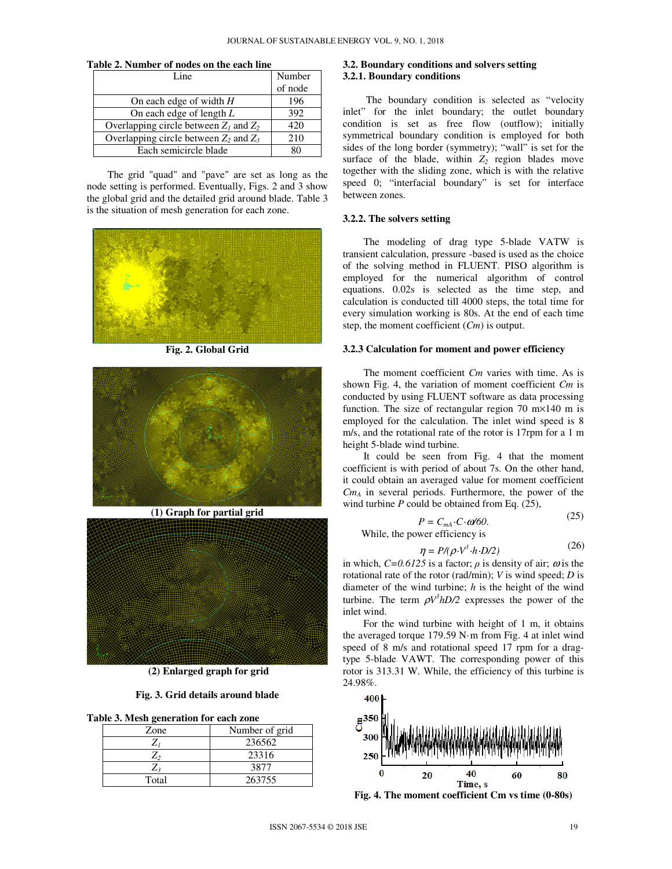| Table 2. Number of nodes on the each line |  |  |
|-------------------------------------------|--|--|
|-------------------------------------------|--|--|

| Line.                                      | Number  |
|--------------------------------------------|---------|
|                                            | of node |
| On each edge of width $H$                  | 196     |
| On each edge of length $L$                 | 392     |
| Overlapping circle between $Z_1$ and $Z_2$ | 420     |
| Overlapping circle between $Z_2$ and $Z_3$ | 210     |
| Each semicircle blade                      |         |

The grid "quad" and "pave" are set as long as the node setting is performed. Eventually, Figs. 2 and 3 show the global grid and the detailed grid around blade. Table 3 is the situation of mesh generation for each zone.



**Fig. 2. Global Grid** 



**(1) Graph for partial grid** 



 **(2) Enlarged graph for grid** 

**Fig. 3. Grid details around blade** 

| Table 3. Mesh generation for each zone |  |  |  |  |
|----------------------------------------|--|--|--|--|
|----------------------------------------|--|--|--|--|

| Zone  | Number of grid |  |
|-------|----------------|--|
|       | 236562         |  |
|       | 23316          |  |
| L2    | 3877           |  |
| Total | 263755         |  |

## **3.2. Boundary conditions and solvers setting 3.2.1. Boundary conditions**

The boundary condition is selected as "velocity inlet" for the inlet boundary; the outlet boundary condition is set as free flow (outflow); initially symmetrical boundary condition is employed for both sides of the long border (symmetry); "wall" is set for the surface of the blade, within  $Z_2$  region blades move together with the sliding zone, which is with the relative speed 0; "interfacial boundary" is set for interface between zones.

#### **3.2.2. The solvers setting**

The modeling of drag type 5-blade VATW is transient calculation, pressure -based is used as the choice of the solving method in FLUENT. PISO algorithm is employed for the numerical algorithm of control equations. 0.02s is selected as the time step, and calculation is conducted till 4000 steps, the total time for every simulation working is 80s. At the end of each time step, the moment coefficient (*Cm*) is output.

#### **3.2.3 Calculation for moment and power efficiency**

The moment coefficient *Cm* varies with time. As is shown Fig. 4, the variation of moment coefficient *Cm* is conducted by using FLUENT software as data processing function. The size of rectangular region 70 m×140 m is employed for the calculation. The inlet wind speed is 8 m/s, and the rotational rate of the rotor is 17rpm for a 1 m height 5-blade wind turbine.

It could be seen from Fig. 4 that the moment coefficient is with period of about 7s. On the other hand, it could obtain an averaged value for moment coefficient *CmA* in several periods. Furthermore, the power of the wind turbine *P* could be obtained from Eq. (25),

$$
P = C_{mA} \cdot C \cdot \omega/60. \tag{25}
$$

While, the power efficiency is

$$
\eta = P/(\rho \cdot V^3 \cdot h \cdot D/2) \tag{26}
$$

in which,  $C=0.6125$  is a factor;  $\rho$  is density of air;  $\omega$  is the rotational rate of the rotor (rad/min); *V* is wind speed; *D* is diameter of the wind turbine; *h* is the height of the wind turbine. The term  $\rho V^3 hD/2$  expresses the power of the inlet wind.

For the wind turbine with height of 1 m, it obtains the averaged torque 179.59 N·m from Fig. 4 at inlet wind speed of 8 m/s and rotational speed 17 rpm for a dragtype 5-blade VAWT. The corresponding power of this rotor is 313.31 W. While, the efficiency of this turbine is 24.98%.



**Fig. 4. The moment coefficient Cm vs time (0-80s)**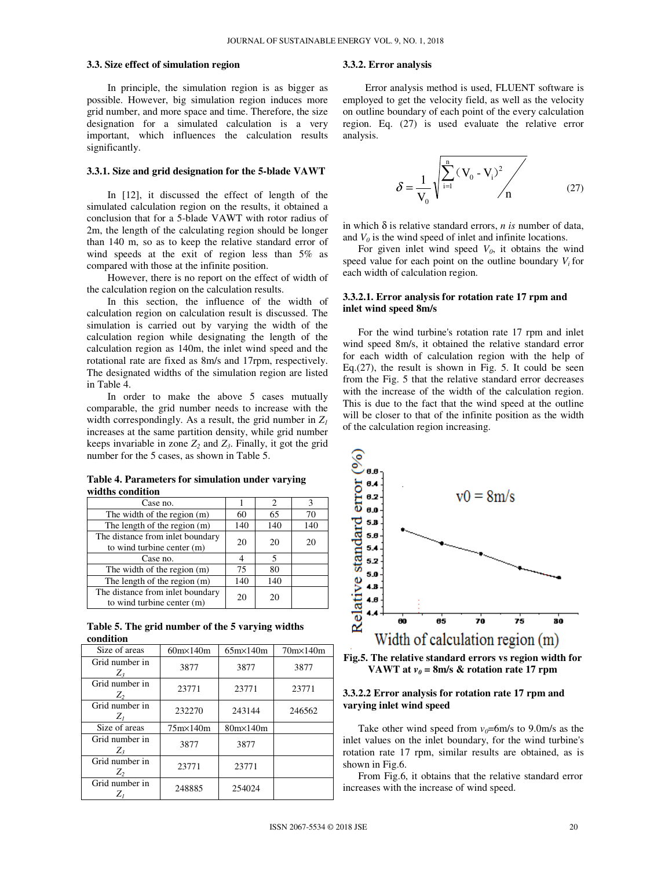#### **3.3. Size effect of simulation region**

In principle, the simulation region is as bigger as possible. However, big simulation region induces more grid number, and more space and time. Therefore, the size designation for a simulated calculation is a very important, which influences the calculation results significantly.

#### **3.3.1. Size and grid designation for the 5-blade VAWT**

In [12], it discussed the effect of length of the simulated calculation region on the results, it obtained a conclusion that for a 5-blade VAWT with rotor radius of 2m, the length of the calculating region should be longer than 140 m, so as to keep the relative standard error of wind speeds at the exit of region less than 5% as compared with those at the infinite position.

However, there is no report on the effect of width of the calculation region on the calculation results.

In this section, the influence of the width of calculation region on calculation result is discussed. The simulation is carried out by varying the width of the calculation region while designating the length of the calculation region as 140m, the inlet wind speed and the rotational rate are fixed as 8m/s and 17rpm, respectively. The designated widths of the simulation region are listed in Table 4.

In order to make the above 5 cases mutually comparable, the grid number needs to increase with the width correspondingly. As a result, the grid number in  $Z_l$ increases at the same partition density, while grid number keeps invariable in zone  $Z_2$  and  $Z_3$ . Finally, it got the grid number for the 5 cases, as shown in Table 5.

**Table 4. Parameters for simulation under varying widths condition** 

| Case no.                                                       |     | 2   |     |
|----------------------------------------------------------------|-----|-----|-----|
| The width of the region (m)                                    | 60  | 65  | 70  |
| The length of the region (m)                                   | 140 | 140 | 140 |
| The distance from inlet boundary<br>to wind turbine center (m) | 20  | 20  | 20  |
| Case no.                                                       |     | 5   |     |
| The width of the region (m)                                    | 75  | 80  |     |
| The length of the region (m)                                   | 140 | 140 |     |
| The distance from inlet boundary<br>to wind turbine center (m) | 20  | 20  |     |

**Table 5. The grid number of the 5 varying widths condition** 

| Size of areas             | $60m \times 140m$ | $65m \times 140m$ | $70m\times140m$ |
|---------------------------|-------------------|-------------------|-----------------|
| Grid number in<br>$Z_3$   | 3877              | 3877              | 3877            |
| Grid number in<br>$Z_{2}$ | 23771             | 23771             | 23771           |
| Grid number in<br>$Z_{I}$ | 232270            | 243144            | 246562          |
| Size of areas             | $75m \times 140m$ | $80m \times 140m$ |                 |
| Grid number in<br>$Z_3$   | 3877              | 3877              |                 |
| Grid number in<br>$Z_{2}$ | 23771             | 23771             |                 |
| Grid number in<br>$Z_I$   | 248885            | 254024            |                 |

#### **3.3.2. Error analysis**

Error analysis method is used, FLUENT software is employed to get the velocity field, as well as the velocity on outline boundary of each point of the every calculation region. Eq. (27) is used evaluate the relative error analysis.

$$
\delta = \frac{1}{V_0} \sqrt{\sum_{i=1}^{n} (V_0 - V_i)^2 / n}
$$
 (27)

in which  $\delta$  is relative standard errors, *n* is number of data, and  $V_0$  is the wind speed of inlet and infinite locations.

For given inlet wind speed  $V_0$ , it obtains the wind speed value for each point on the outline boundary  $V_i$  for each width of calculation region.

#### **3.3.2.1. Error analysis for rotation rate 17 rpm and inlet wind speed 8m/s**

For the wind turbine's rotation rate 17 rpm and inlet wind speed 8m/s, it obtained the relative standard error for each width of calculation region with the help of Eq. $(27)$ , the result is shown in Fig. 5. It could be seen from the Fig. 5 that the relative standard error decreases with the increase of the width of the calculation region. This is due to the fact that the wind speed at the outline will be closer to that of the infinite position as the width of the calculation region increasing.



**Fig.5. The relative standard errors vs region width for VAWT** at  $v_0 = 8$ m/s & rotation rate 17 rpm

## **3.3.2.2 Error analysis for rotation rate 17 rpm and varying inlet wind speed**

Take other wind speed from  $v_0$ =6m/s to 9.0m/s as the inlet values on the inlet boundary, for the wind turbine's rotation rate 17 rpm, similar results are obtained, as is shown in Fig.6.

From Fig.6, it obtains that the relative standard error increases with the increase of wind speed.